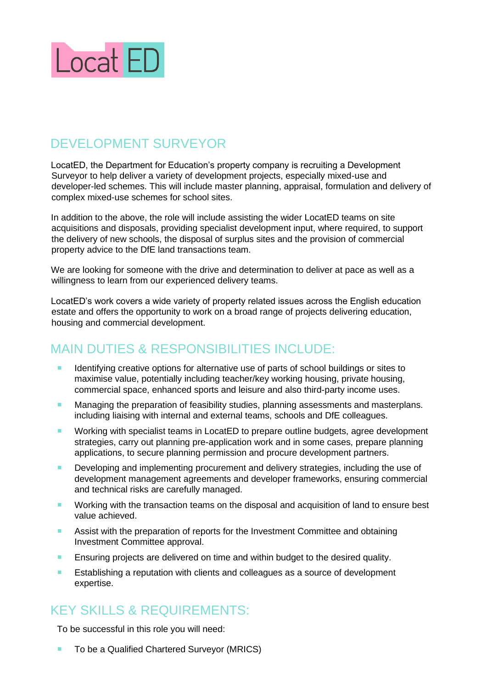

## DEVELOPMENT SURVEYOR

LocatED, the Department for Education's property company is recruiting a Development Surveyor to help deliver a variety of development projects, especially mixed-use and developer-led schemes. This will include master planning, appraisal, formulation and delivery of complex mixed-use schemes for school sites.

In addition to the above, the role will include assisting the wider LocatED teams on site acquisitions and disposals, providing specialist development input, where required, to support the delivery of new schools, the disposal of surplus sites and the provision of commercial property advice to the DfE land transactions team.

We are looking for someone with the drive and determination to deliver at pace as well as a willingness to learn from our experienced delivery teams.

LocatED's work covers a wide variety of property related issues across the English education estate and offers the opportunity to work on a broad range of projects delivering education, housing and commercial development.

## MAIN DUTIES & RESPONSIBILITIES INCLUDE:

- Identifying creative options for alternative use of parts of school buildings or sites to maximise value, potentially including teacher/key working housing, private housing, commercial space, enhanced sports and leisure and also third-party income uses.
- **Managing the preparation of feasibility studies, planning assessments and masterplans.** including liaising with internal and external teams, schools and DfE colleagues.
- Working with specialist teams in LocatED to prepare outline budgets, agree development strategies, carry out planning pre-application work and in some cases, prepare planning applications, to secure planning permission and procure development partners.
- **Developing and implementing procurement and delivery strategies, including the use of** development management agreements and developer frameworks, ensuring commercial and technical risks are carefully managed.
- **Working with the transaction teams on the disposal and acquisition of land to ensure best** value achieved.
- **Assist with the preparation of reports for the Investment Committee and obtaining** Investment Committee approval.
- **Ensuring projects are delivered on time and within budget to the desired quality.**
- **EXECT** Establishing a reputation with clients and colleagues as a source of development expertise.

## KEY SKILLS & REQUIREMENTS:

To be successful in this role you will need:

■ To be a Qualified Chartered Surveyor (MRICS)